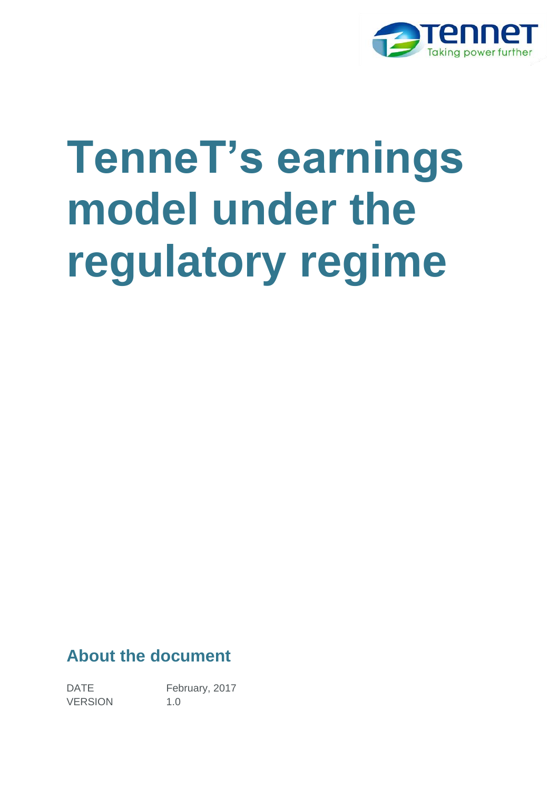

# **TenneT's earnings**  model under the **regulatory regime**

#### **About the document**

DATE February, 2017 VERSION 1.0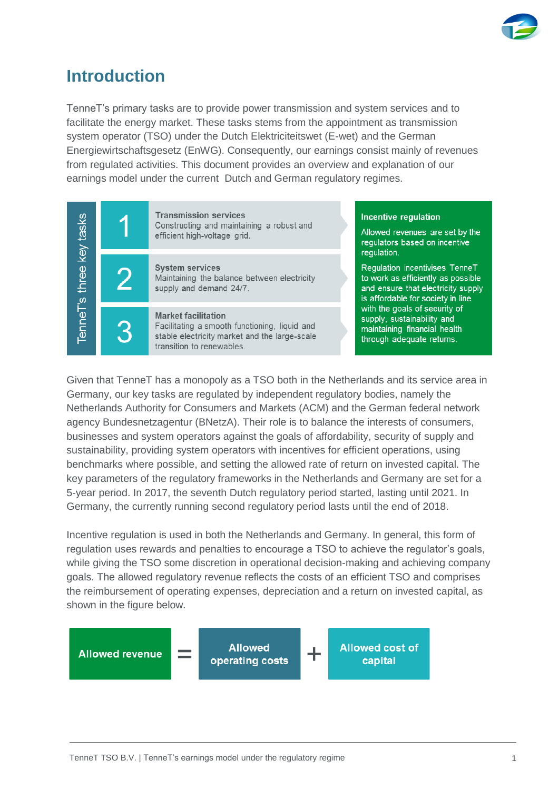

## **Introduction**

TenneT's primary tasks are to provide power transmission and system services and to facilitate the energy market. These tasks stems from the appointment as transmission system operator (TSO) under the Dutch Elektriciteitswet (E-wet) and the German Energiewirtschaftsgesetz (EnWG). Consequently, our earnings consist mainly of revenues from regulated activities. This document provides an overview and explanation of our earnings model under the current Dutch and German regulatory regimes.



Given that TenneT has a monopoly as a TSO both in the Netherlands and its service area in Germany, our key tasks are regulated by independent regulatory bodies, namely the Netherlands Authority for Consumers and Markets (ACM) and the German federal network agency Bundesnetzagentur (BNetzA). Their role is to balance the interests of consumers, businesses and system operators against the goals of affordability, security of supply and sustainability, providing system operators with incentives for efficient operations, using benchmarks where possible, and setting the allowed rate of return on invested capital. The key parameters of the regulatory frameworks in the Netherlands and Germany are set for a 5-year period. In 2017, the seventh Dutch regulatory period started, lasting until 2021. In Germany, the currently running second regulatory period lasts until the end of 2018.

Incentive regulation is used in both the Netherlands and Germany. In general, this form of regulation uses rewards and penalties to encourage a TSO to achieve the regulator's goals, while giving the TSO some discretion in operational decision-making and achieving company goals. The allowed regulatory revenue reflects the costs of an efficient TSO and comprises the reimbursement of operating expenses, depreciation and a return on invested capital, as shown in the figure below.